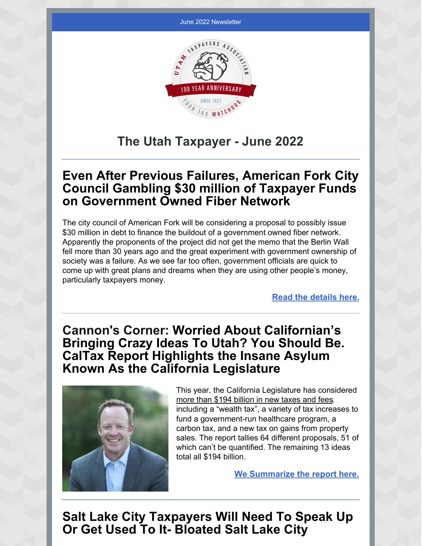

## **The Utah Taxpayer - June 2022**

### **Even After Previous Failures, American Fork City Council Gambling \$30 million of Taxpayer Funds on Government Owned Fiber Network**

The city council of American Fork will be considering a proposal to possibly issue \$30 million in debt to finance the buildout of a government owned fiber network. Apparently the proponents of the project did not get the memo that the Berlin Wall fell more than 30 years ago and the great experiment with government ownership of society was a failure. As we see far too often, government officials are quick to come up with great plans and dreams when they are using other people's money, particularly taxpayers money.

**Read the [details](https://utahtaxpayers.org/even-after-previous-failures-american-fork-city-council-gambling-30-million-of-taxpayer-funds-on-government-owned-fiber-network/) here.**

## **Cannon's Corner: Worried About Californian's Bringing Crazy Ideas To Utah? You Should Be. CalTax Report Highlights the Insane Asylum Known As the California Legislature**



This year, the California Legislature has considered more than \$194 billion in new taxes and fees, including a "wealth tax", a variety of tax increases to fund a government-run healthcare program, a carbon tax, and a new tax on gains from property sales. The report tallies 64 different proposals, 51 of which can't be quantified. The remaining 13 ideas total all \$194 billion.

**We [Summarize](https://utahtaxpayers.org/worried-about-californians-bringing-crazy-ideas-to-utah-you-should-be-caltax-report-highlights-the-insane-asylum-known-as-the-california-legislature/) the report here.**

**Salt Lake City Taxpayers Will Need To Speak Up Or Get Used To It- Bloated Salt Lake City**